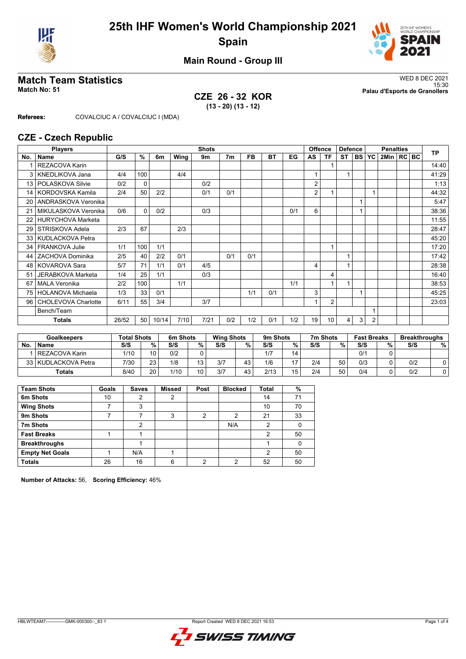



### **Main Round - Group III**

## **CZE 26 - 32 KOR (13 - 20) (13 - 12)**

**Match Team Statistics** WED 8 DEC 2021 15:30 **Match No: 51 Palau d'Esports de Granollers**

**Referees:** COVALCIUC A / COVALCIUC I (MDA)

### **CZE - Czech Republic**

|     | <b>Players</b>           | <b>Shots</b> |          |       |      |      |                |     |           |     | <b>Offence</b> | <b>Defence</b> |                | <b>Penalties</b> |                |                  |  | <b>TP</b> |       |
|-----|--------------------------|--------------|----------|-------|------|------|----------------|-----|-----------|-----|----------------|----------------|----------------|------------------|----------------|------------------|--|-----------|-------|
| No. | <b>Name</b>              | G/S          | %        | 6m    | Wing | 9m   | 7 <sub>m</sub> | FB  | <b>BT</b> | EG  | AS             | <b>TF</b>      | <b>ST</b>      | BS   YC          |                | $2$ Min $ RC BC$ |  |           |       |
|     | <b>REZACOVA Karin</b>    |              |          |       |      |      |                |     |           |     |                |                |                |                  |                |                  |  |           | 14:40 |
| 3   | KNEDLIKOVA Jana          | 4/4          | 100      |       | 4/4  |      |                |     |           |     |                |                |                |                  |                |                  |  |           | 41:29 |
| 13  | POLASKOVA Silvie         | 0/2          | 0        |       |      | 0/2  |                |     |           |     | 2              |                |                |                  |                |                  |  |           | 1:13  |
| 14  | KORDOVSKA Kamila         | 2/4          | 50       | 2/2   |      | 0/1  | 0/1            |     |           |     | $\overline{2}$ |                |                |                  | 1              |                  |  |           | 44:32 |
| 20  | ANDRASKOVA Veronika      |              |          |       |      |      |                |     |           |     |                |                |                |                  |                |                  |  |           | 5:47  |
| 21  | MIKULASKOVA Veronika     | 0/6          | $\Omega$ | 0/2   |      | 0/3  |                |     |           | 0/1 | 6              |                |                |                  |                |                  |  |           | 38:36 |
| 22  | <b>HURYCHOVA Marketa</b> |              |          |       |      |      |                |     |           |     |                |                |                |                  |                |                  |  |           | 11:55 |
| 29  | STRISKOVA Adela          | 2/3          | 67       |       | 2/3  |      |                |     |           |     |                |                |                |                  |                |                  |  |           | 28:47 |
| 33  | KUDLACKOVA Petra         |              |          |       |      |      |                |     |           |     |                |                |                |                  |                |                  |  |           | 45:20 |
| 34  | FRANKOVA Julie           | 1/1          | 100      | 1/1   |      |      |                |     |           |     |                |                |                |                  |                |                  |  |           | 17:20 |
| 44  | ZACHOVA Dominika         | 2/5          | 40       | 2/2   | 0/1  |      | 0/1            | 0/1 |           |     |                |                | $\overline{1}$ |                  |                |                  |  |           | 17:42 |
| 48  | <b>KOVAROVA Sara</b>     | 5/7          | 71       | 1/1   | 0/1  | 4/5  |                |     |           |     | $\overline{4}$ |                | 1              |                  |                |                  |  |           | 28:38 |
| 51  | <b>JERABKOVA Marketa</b> | 1/4          | 25       | 1/1   |      | 0/3  |                |     |           |     |                | 4              |                |                  |                |                  |  |           | 16:40 |
| 67  | <b>MALA Veronika</b>     | 2/2          | 100      |       | 1/1  |      |                |     |           | 1/1 |                |                |                |                  |                |                  |  |           | 38:53 |
| 75  | HOLANOVA Michaela        | 1/3          | 33       | 0/1   |      |      |                | 1/1 | 0/1       |     | 3              |                |                |                  |                |                  |  |           | 45:25 |
| 96  | CHOLEVOVA Charlotte      | 6/11         | 55       | 3/4   |      | 3/7  |                |     |           |     |                | $\overline{2}$ |                |                  |                |                  |  |           | 23:03 |
|     | Bench/Team               |              |          |       |      |      |                |     |           |     |                |                |                |                  |                |                  |  |           |       |
|     | Totals                   | 26/52        | 50       | 10/14 | 7/10 | 7/21 | 0/2            | 1/2 | 0/1       | 1/2 | 19             | 10             | 4              | 3                | $\overline{2}$ |                  |  |           |       |

| <b>Goalkeepers</b> |                       | <b>Total Shots</b> |    | 6m Shots |    |     | <b>Wing Shots</b> |      | 9m Shots |     | 7m Shots | <b>Fast Breaks</b> |   | <b>Breakthroughs</b> |   |
|--------------------|-----------------------|--------------------|----|----------|----|-----|-------------------|------|----------|-----|----------|--------------------|---|----------------------|---|
| <b>No</b>          | <b>Name</b>           | S/S                | %. | S/S      | %  | S/S | %                 | S/S  | %        | S/S | %        | S/S                | % | S/S                  | % |
|                    | <b>REZACOVA Karin</b> | 1/10               | 10 | 0/2      |    |     |                   | 1/7  | 14       |     |          | 0/1                |   |                      |   |
|                    | 33 KUDLACKOVA Petra   | 7/30               | 23 | 1/8      | 12 | 3/7 | 43                | 1/6  | 17       | 2/4 | 50       | 0/3                |   | 0/2                  |   |
|                    | Totals                | 8/40               | 20 | 1/10     | 10 | 3/7 | 43                | 2/13 | 15       | 2/4 | 50       | 0/4                |   | 0/2                  |   |

| <b>Team Shots</b>      | Goals | <b>Saves</b> | <b>Missed</b> | Post | <b>Blocked</b> | <b>Total</b> | %  |
|------------------------|-------|--------------|---------------|------|----------------|--------------|----|
| 6m Shots               | 10    | າ            | っ             |      |                | 14           | 71 |
| <b>Wing Shots</b>      |       | 3            |               |      |                | 10           | 70 |
| 9m Shots               |       |              | 3             | 2    | 2              | 21           | 33 |
| 7m Shots               |       | 2            |               |      | N/A            | 2            |    |
| <b>Fast Breaks</b>     |       |              |               |      |                | 2            | 50 |
| <b>Breakthroughs</b>   |       |              |               |      |                |              | 0  |
| <b>Empty Net Goals</b> |       | N/A          |               |      |                | 2            | 50 |
| <b>Totals</b>          | 26    | 16           | 6             | ◠    | ◠              | 52           | 50 |

**Number of Attacks:** 56, **Scoring Efficiency:** 46%

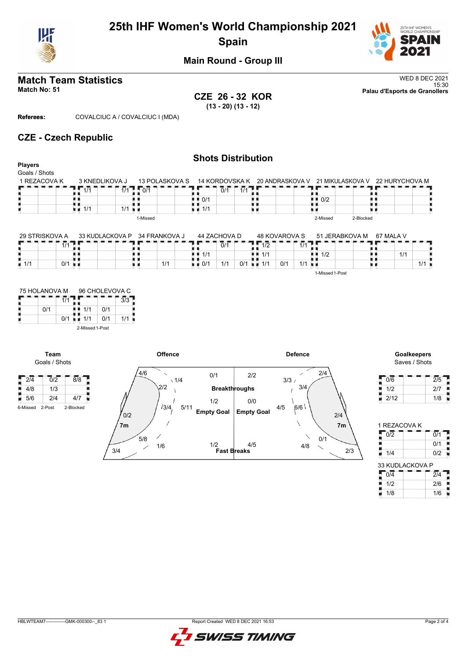

# **25th IHF Women's World Championship 2021 Spain**



### **Main Round - Group III**

**CZE 26 - 32 KOR (13 - 20) (13 - 12)**

**Match Team Statistics** WED 8 DEC 2021 15:30 **Match No: 51 Palau d'Esports de Granollers**

**Referees:** COVALCIUC A / COVALCIUC I (MDA)

**Team** Goals / Shots

 $\frac{1}{4}$  4/8 1/3

### **CZE - Czech Republic**

|                |                          |                               |                |                                   | <b>Shots Distribution</b> |                    |                        |                |           |                                                                |     |
|----------------|--------------------------|-------------------------------|----------------|-----------------------------------|---------------------------|--------------------|------------------------|----------------|-----------|----------------------------------------------------------------|-----|
| <b>Players</b> |                          |                               |                |                                   |                           |                    |                        |                |           |                                                                |     |
| Goals / Shots  |                          |                               |                |                                   |                           |                    |                        |                |           |                                                                |     |
| 1 REZACOVA K   | 3 KNEDLIKOVA J           |                               | 13 POLASKOVA S |                                   |                           |                    |                        |                |           | 14 KORDOVSKA K 20 ANDRASKOVA V 21 MIKULASKOVA V 22 HURYCHOVA M |     |
|                | 1/1                      | $1/1$ $\frac{1}{2}$ 0/1       |                |                                   | 1/1<br>0/1                |                    |                        |                |           |                                                                |     |
|                |                          |                               |                | $\blacksquare$ $\blacksquare$ 0/1 |                           |                    |                        | 0/2<br>. .     |           |                                                                |     |
|                | 1/1<br>u u               | $1/1$ u $\blacksquare$        |                | $\blacksquare$ 1/1                |                           |                    |                        |                |           |                                                                |     |
|                |                          | 1-Missed                      |                |                                   |                           |                    |                        | 2-Missed       | 2-Blocked |                                                                |     |
|                |                          |                               |                |                                   |                           |                    |                        |                |           |                                                                |     |
| 29 STRISKOVA A |                          | 33 KUDLACKOVA P 34 FRANKOVA J |                |                                   | 44 ZACHOVA D              | 48 KOVAROVA S      |                        | 51 JERABKOVA M |           | 67 MALA V                                                      |     |
|                | $\overline{1/1}$<br>T. I |                               |                |                                   | 0/1                       | $1 - 1/2$          | $1/1$ 1                |                |           |                                                                |     |
|                |                          |                               |                | $\blacksquare$ $\blacksquare$ 1/1 |                           | 1/1<br>n n         |                        | 1/2<br>. .     |           | 1/1                                                            |     |
| 1/1            | 0/1<br>. .               |                               | 1/1            | $\blacksquare$ $\blacksquare$ 0/1 | 1/1                       | 0/1<br>$0/1$ = 1/1 | $1/1$ u $\blacksquare$ |                |           |                                                                | 1/1 |

| 75 HOLANOVA M |     | 96 CHOLEVOVA C |     |     |
|---------------|-----|----------------|-----|-----|
|               | 1/1 |                |     | 3/3 |
| 0/1           |     | 1/1            | 0/1 |     |
|               | 0/1 | 1/1            | 0/1 | 1/1 |

2-Missed 1-Post



Saves / Shots

 $1/1$ 

1-Missed 1-Post

| 0/6  | 2/5 |
|------|-----|
| 1/2  | 2/7 |
| 2/12 | 1/8 |

| 1 REZACOVA K    |     |  |  |  |  |  |  |  |  |
|-----------------|-----|--|--|--|--|--|--|--|--|
| 0/2             | 0/1 |  |  |  |  |  |  |  |  |
|                 | 0/1 |  |  |  |  |  |  |  |  |
| 1/4             | 0/2 |  |  |  |  |  |  |  |  |
| 33 KUDLACKOVA P |     |  |  |  |  |  |  |  |  |
|                 |     |  |  |  |  |  |  |  |  |

 $\frac{1}{2}$  1/2 2/6 1/8 1/6

| GMK-000300-<br>83<br><b>HBLWTEAM7-----------</b> | Report Created WED 8 DEC 2021 16:53 |
|--------------------------------------------------|-------------------------------------|



Ĵ H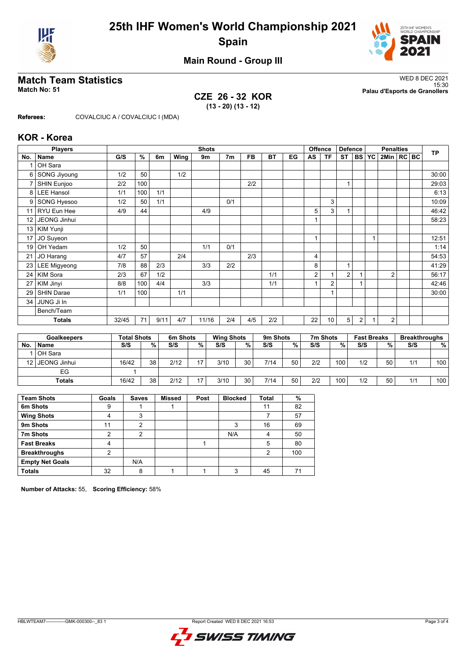



## **Main Round - Group III**

## **CZE 26 - 32 KOR (13 - 20) (13 - 12)**

**Match Team Statistics** WED 8 DEC 2021 15:30 **Match No: 51 Palau d'Esports de Granollers**

**Referees:** COVALCIUC A / COVALCIUC I (MDA)

### **KOR - Korea**

|                 | <b>Players</b>      |       | <b>Shots</b> |      |      |       |                |           |           |    |    | <b>Offence</b> | <b>Defence</b> |    | <b>Penalties</b> |                |  |  | <b>TP</b> |
|-----------------|---------------------|-------|--------------|------|------|-------|----------------|-----------|-----------|----|----|----------------|----------------|----|------------------|----------------|--|--|-----------|
| No.             | <b>Name</b>         | G/S   | %            | 6m   | Wing | 9m    | 7 <sub>m</sub> | <b>FB</b> | <b>BT</b> | EG | AS | <b>TF</b>      | <b>ST</b>      | BS | <b>YC</b>        | 2Min   RC BC   |  |  |           |
|                 | OH Sara             |       |              |      |      |       |                |           |           |    |    |                |                |    |                  |                |  |  |           |
| 6               | <b>SONG Jiyoung</b> | 1/2   | 50           |      | 1/2  |       |                |           |           |    |    |                |                |    |                  |                |  |  | 30:00     |
| 7               | SHIN Eunjoo         | 2/2   | 100          |      |      |       |                | 2/2       |           |    |    |                | 1              |    |                  |                |  |  | 29:03     |
| 8               | <b>LEE Hansol</b>   | 1/1   | 100          | 1/1  |      |       |                |           |           |    |    |                |                |    |                  |                |  |  | 6:13      |
| 9               | SONG Hyesoo         | 1/2   | 50           | 1/1  |      |       | 0/1            |           |           |    |    | 3              |                |    |                  |                |  |  | 10:09     |
| 11              | RYU Eun Hee         | 4/9   | 44           |      |      | 4/9   |                |           |           |    | 5  | 3              |                |    |                  |                |  |  | 46:42     |
| 12              | JEONG Jinhui        |       |              |      |      |       |                |           |           |    |    |                |                |    |                  |                |  |  | 58:23     |
| 13              | KIM Yunji           |       |              |      |      |       |                |           |           |    |    |                |                |    |                  |                |  |  |           |
| 17              | JO Suyeon           |       |              |      |      |       |                |           |           |    | 1  |                |                |    | 1                |                |  |  | 12:51     |
| 19              | OH Yedam            | 1/2   | 50           |      |      | 1/1   | 0/1            |           |           |    |    |                |                |    |                  |                |  |  | 1:14      |
| 21              | JO Harang           | 4/7   | 57           |      | 2/4  |       |                | 2/3       |           |    | 4  |                |                |    |                  |                |  |  | 54:53     |
| 23 <sub>1</sub> | <b>LEE Migyeong</b> | 7/8   | 88           | 2/3  |      | 3/3   | 2/2            |           |           |    | 8  |                | 1              |    |                  |                |  |  | 41:29     |
| 24              | <b>KIM Sora</b>     | 2/3   | 67           | 1/2  |      |       |                |           | 1/1       |    | 2  | 1              | $\overline{2}$ |    |                  | $\overline{2}$ |  |  | 56:17     |
| 27              | KIM Jinyi           | 8/8   | 100          | 4/4  |      | 3/3   |                |           | 1/1       |    |    | 2              |                |    |                  |                |  |  | 42:46     |
| 29              | <b>SHIN Darae</b>   | 1/1   | 100          |      | 1/1  |       |                |           |           |    |    | 1              |                |    |                  |                |  |  | 30:00     |
| 34              | JUNG Ji In          |       |              |      |      |       |                |           |           |    |    |                |                |    |                  |                |  |  |           |
|                 | Bench/Team          |       |              |      |      |       |                |           |           |    |    |                |                |    |                  |                |  |  |           |
|                 | <b>Totals</b>       | 32/45 | 71           | 9/11 | 4/7  | 11/16 | 2/4            | 4/5       | 2/2       |    | 22 | 10             | 5              | 2  |                  | $\overline{2}$ |  |  |           |

| <b>Goalkeepers</b> |               | <b>Total Shots</b> |    | 6m Shots |                |      | <b>Wing Shots</b> |      | 9m Shots |     | 7m Shots | <b>Fast Breaks</b> |    | <b>Breakthroughs</b> |     |
|--------------------|---------------|--------------------|----|----------|----------------|------|-------------------|------|----------|-----|----------|--------------------|----|----------------------|-----|
| No.                | <b>Name</b>   | S/S                | %  | S/S      | %              | S/S  | %                 | S/S  | %        | S/S | %        | S/S                | %  | S/S                  | %   |
|                    | OH Sara       |                    |    |          |                |      |                   |      |          |     |          |                    |    |                      |     |
| 12 I               | JEONG Jinhui  | 16/42              | 38 | 2/12     | $\overline{ }$ | 3/10 | 30                | 7/14 | 50       | 2/2 | 100,     | 1/2                | 50 | 1/1                  | 100 |
|                    | EG            |                    |    |          |                |      |                   |      |          |     |          |                    |    |                      |     |
|                    | <b>Totals</b> | 16/42              | 38 | 2/12     | $\overline{ }$ | 3/10 | 30                | 7/14 | 50       | 2/2 | 100.     | 1/2                | 50 | 1/1                  | 100 |

| <b>Team Shots</b>      | Goals | <b>Saves</b> | <b>Missed</b> | Post | <b>Blocked</b> | <b>Total</b> | %   |
|------------------------|-------|--------------|---------------|------|----------------|--------------|-----|
| 6m Shots               | 9     |              |               |      |                | 11           | 82  |
| <b>Wing Shots</b>      |       | 3            |               |      |                |              | 57  |
| 9m Shots               | 11    | າ            |               |      |                | 16           | 69  |
| 7m Shots               | 2     | 2            |               |      | N/A            | Λ            | 50  |
| <b>Fast Breaks</b>     | 4     |              |               |      |                | 5            | 80  |
| <b>Breakthroughs</b>   | າ     |              |               |      |                | 2            | 100 |
| <b>Empty Net Goals</b> |       | N/A          |               |      |                |              |     |
| <b>Totals</b>          | 32    | 8            |               |      | 3              | 45           |     |

**Number of Attacks:** 55, **Scoring Efficiency:** 58%